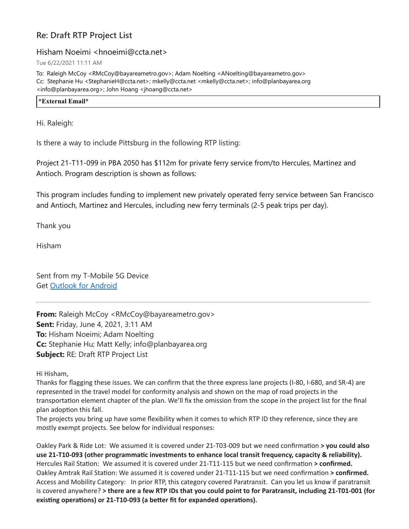## **Re: Draft RTP Project List**

## Hisham Noeimi <hnoeimi@ccta.net>

Tue 6/22/2021 11:11 AM

To: Raleigh McCoy <RMcCoy@bayareametro.gov>; Adam Noelting <ANoelting@bayareametro.gov> Cc: Stephanie Hu <StephanieH@ccta.net>; mkelly@ccta.net <mkelly@ccta.net>; info@planbayarea.org <info@planbayarea.org>; John Hoang <jhoang@ccta.net>

**\*External Email\***

Hi. Raleigh:

Is there a way to include Pittsburg in the following RTP listing:

Project 21-T11-099 in PBA 2050 has \$112m for private ferry service from/to Hercules, Martinez and Antioch. Program description is shown as follows:

This program includes funding to implement new privately operated ferry service between San Francisco and Antioch, Martinez and Hercules, including new ferry terminals (2-5 peak trips per day).

Thank you

Hisham

Sent from my T-Mobile 5G Device Get [Outlook for Android](https://nam10.safelinks.protection.outlook.com/?url=https%3A%2F%2Faka.ms%2FAAb9ysg&data=04%7C01%7Cplanbayareainfo%40bayareametro.gov%7C84c6408ad7c3405ecc9c08d9356e863c%7Cb084c4a0bb194142b70382ea65a5eeb2%7C0%7C0%7C637599571090450771%7CUnknown%7CTWFpbGZsb3d8eyJWIjoiMC4wLjAwMDAiLCJQIjoiV2luMzIiLCJBTiI6Ik1haWwiLCJXVCI6Mn0%3D%7C1000&sdata=6xupizvxWjX7HzA39pLJNpg9Y3EYQgNMVNaS8bAkEQI%3D&reserved=0)

**From:** Raleigh McCoy <RMcCoy@bayareametro.gov> **Sent:** Friday, June 4, 2021, 3:11 AM **To:** Hisham Noeimi; Adam Noelting **Cc:** Stephanie Hu; Matt Kelly; info@planbayarea.org **Subject:** RE: Draft RTP Project List

Hi Hisham,

Thanks for flagging these issues. We can confirm that the three express lane projects (I-80, I-680, and SR-4) are represented in the travel model for conformity analysis and shown on the map of road projects in the transportation element chapter of the plan. We'll fix the omission from the scope in the project list for the final plan adoption this fall.

The projects you bring up have some flexibility when it comes to which RTP ID they reference, since they are mostly exempt projects. See below for individual responses:

Oakley Park & Ride Lot: We assumed it is covered under 21-T03-009 but we need confirmation **> you could also use 21-T10-093 (other programmatic investments to enhance local transit frequency, capacity & reliability).** Hercules Rail Station: We assumed it is covered under 21-T11-115 but we need confirmation **> confirmed.** Oakley Amtrak Rail Station: We assumed it is covered under 21-T11-115 but we need confirmation **> confirmed.** Access and Mobility Category: In prior RTP, this category covered Paratransit. Can you let us know if paratransit is covered anywhere? > there are a few RTP IDs that you could point to for Paratransit, including 21-T01-001 (for **existing operations) or 21-T10-093 (a better fit for expanded operations).**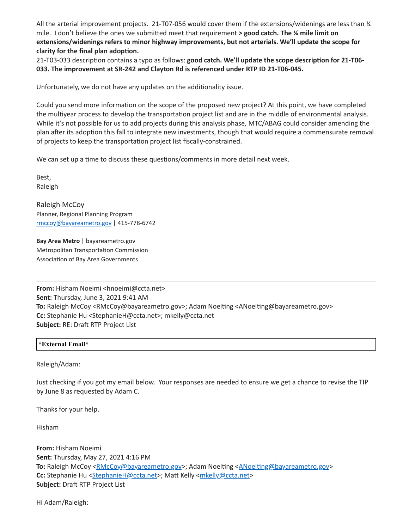All the arterial improvement projects. 21-T07-056 would cover them if the extensions/widenings are less than ¼ mile. I don't believe the ones we submitted meet that requirement **> good catch. The ¼ mile limit on extensions/widenings refers to minor highway improvements, but not arterials. We'll update the scope for clarity for the final plan adoption.**

21-T03-033 description contains a typo as follows: **good catch. We'll update the scope description for 21-T06- 033. The improvement at SR-242 and Clayton Rd is referenced under RTP ID 21-T06-045.**

Unfortunately, we do not have any updates on the additionality issue.

Could you send more information on the scope of the proposed new project? At this point, we have completed the multiyear process to develop the transportation project list and are in the middle of environmental analysis. While it's not possible for us to add projects during this analysis phase, MTC/ABAG could consider amending the plan after its adoption this fall to integrate new investments, though that would require a commensurate removal of projects to keep the transportation project list fiscally-constrained.

We can set up a time to discuss these questions/comments in more detail next week.

Best, Raleigh

Raleigh McCoy Planner, Regional Planning Program [rmccoy@bayareametro.gov](mailto:rmccoy@bayareametro.gov) | 415-778-6742

**Bay Area Metro** | bayareametro.gov Metropolitan Transportation Commission Association of Bay Area Governments

**From:** Hisham Noeimi <hnoeimi@ccta.net> **Sent:** Thursday, June 3, 2021 9:41 AM **To:** Raleigh McCoy <RMcCoy@bayareametro.gov>; Adam Noelting <ANoelting@bayareametro.gov> **Cc:** Stephanie Hu <StephanieH@ccta.net>; mkelly@ccta.net **Subject:** RE: Draft RTP Project List

## **\*External Email\***

Raleigh/Adam:

Just checking if you got my email below. Your responses are needed to ensure we get a chance to revise the TIP by June 8 as requested by Adam C.

Thanks for your help.

Hisham

**From:** Hisham Noeimi **Sent:** Thursday, May 27, 2021 4:16 PM **To:** Raleigh McCoy [<RMcCoy@bayareametro.gov](mailto:RMcCoy@bayareametro.gov)>; Adam Noelting <[ANoelting@bayareametro.gov](mailto:ANoelting@bayareametro.gov)> **Cc:** Stephanie Hu [<StephanieH@ccta.net](mailto:StephanieH@ccta.net)>; Matt Kelly [<mkelly@ccta.net>](mailto:mkelly@ccta.net) **Subject:** Draft RTP Project List

Hi Adam/Raleigh: